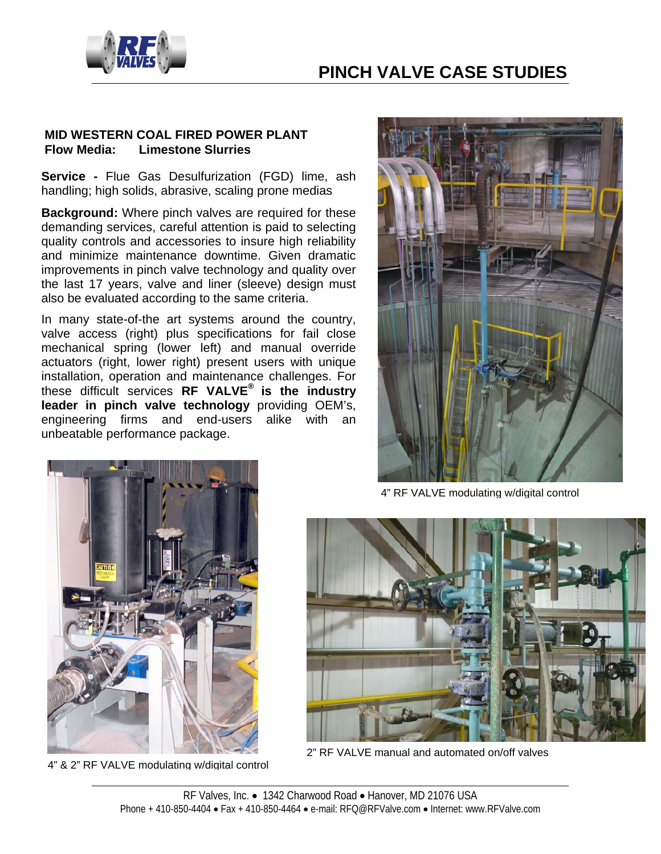

## **PINCH VALVE CASE STUDIES**

### **MID WESTERN COAL FIRED POWER PLANT Flow Media: Limestone Slurries**

**Service -** Flue Gas Desulfurization (FGD) lime, ash handling; high solids, abrasive, scaling prone medias

**Background:** Where pinch valves are required for these demanding services, careful attention is paid to selecting quality controls and accessories to insure high reliability and minimize maintenance downtime. Given dramatic improvements in pinch valve technology and quality over the last 17 years, valve and liner (sleeve) design must also be evaluated according to the same criteria.

In many state-of-the art systems around the country, valve access (right) plus specifications for fail close mechanical spring (lower left) and manual override actuators (right, lower right) present users with unique installation, operation and maintenance challenges. For these difficult services **RF VALVE® is the industry leader in pinch valve technology** providing OEM's, engineering firms and end-users alike with an unbeatable performance package.



4" RF VALVE modulating w/digital control



4" & 2" RF VALVE modulating w/digital control



2" RF VALVE manual and automated on/off valves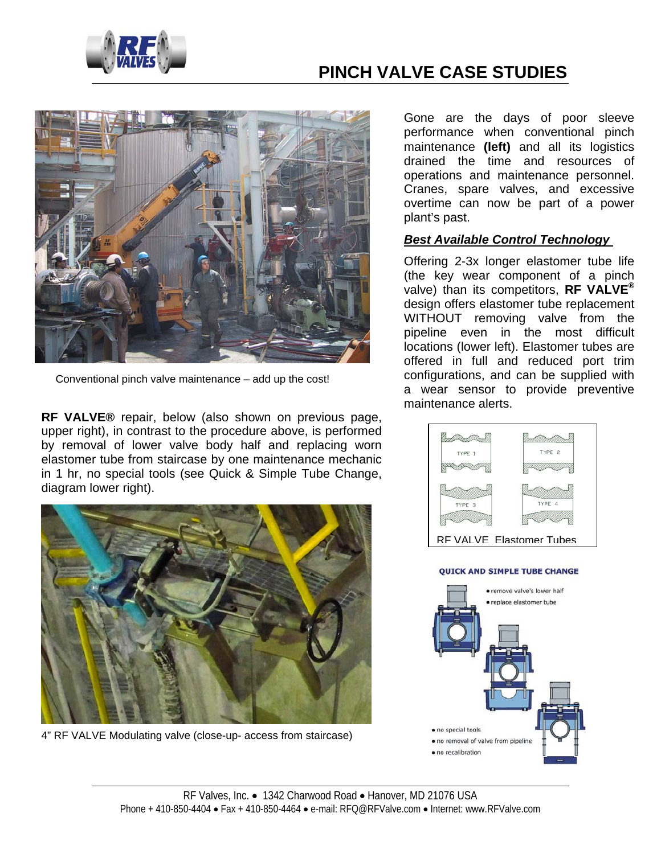

# **PINCH VALVE CASE STUDIES**



Conventional pinch valve maintenance – add up the cost!

**RF VALVE®** repair, below (also shown on previous page, upper right), in contrast to the procedure above, is performed by removal of lower valve body half and replacing worn elastomer tube from staircase by one maintenance mechanic in 1 hr, no special tools (see Quick & Simple Tube Change, diagram lower right).



4" RF VALVE Modulating valve (close-up- access from staircase)

Gone are the days of poor sleeve performance when conventional pinch maintenance **(left)** and all its logistics drained the time and resources of operations and maintenance personnel. Cranes, spare valves, and excessive overtime can now be part of a power plant's past.

#### *Best Available Control Technology*

Offering 2-3x longer elastomer tube life (the key wear component of a pinch valve) than its competitors, **RF VALVE®** design offers elastomer tube replacement WITHOUT removing valve from the pipeline even in the most difficult locations (lower left). Elastomer tubes are offered in full and reduced port trim configurations, and can be supplied with a wear sensor to provide preventive maintenance alerts.



#### **QUICK AND SIMPLE TUBE CHANGE**